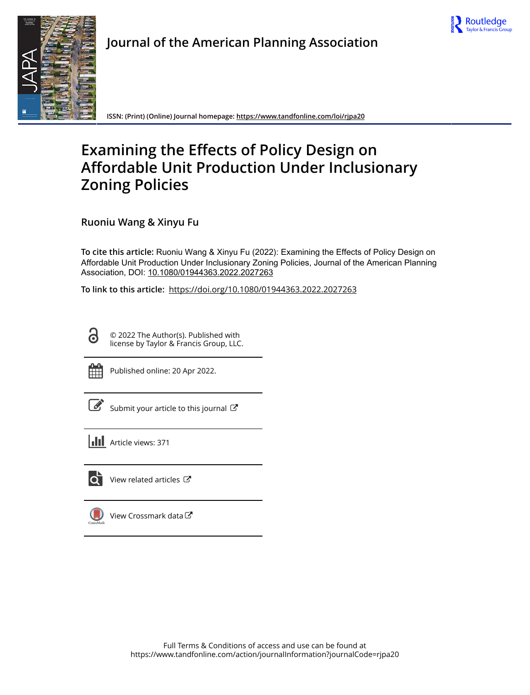



# **Journal of the American Planning Association**

**ISSN: (Print) (Online) Journal homepage:<https://www.tandfonline.com/loi/rjpa20>**

# **Examining the Effects of Policy Design on Affordable Unit Production Under Inclusionary Zoning Policies**

**Ruoniu Wang & Xinyu Fu**

**To cite this article:** Ruoniu Wang & Xinyu Fu (2022): Examining the Effects of Policy Design on Affordable Unit Production Under Inclusionary Zoning Policies, Journal of the American Planning Association, DOI: [10.1080/01944363.2022.2027263](https://www.tandfonline.com/action/showCitFormats?doi=10.1080/01944363.2022.2027263)

**To link to this article:** <https://doi.org/10.1080/01944363.2022.2027263>

© 2022 The Author(s). Published with license by Taylor & Francis Group, LLC.



**G** 

Published online: 20 Apr 2022.

[Submit your article to this journal](https://www.tandfonline.com/action/authorSubmission?journalCode=rjpa20&show=instructions)  $\mathbb{Z}$ 

**Article views: 371** 



 $\bullet$  [View related articles](https://www.tandfonline.com/doi/mlt/10.1080/01944363.2022.2027263)  $\sigma$ 

[View Crossmark data](http://crossmark.crossref.org/dialog/?doi=10.1080/01944363.2022.2027263&domain=pdf&date_stamp=2022-04-20) $\mathbb{Z}$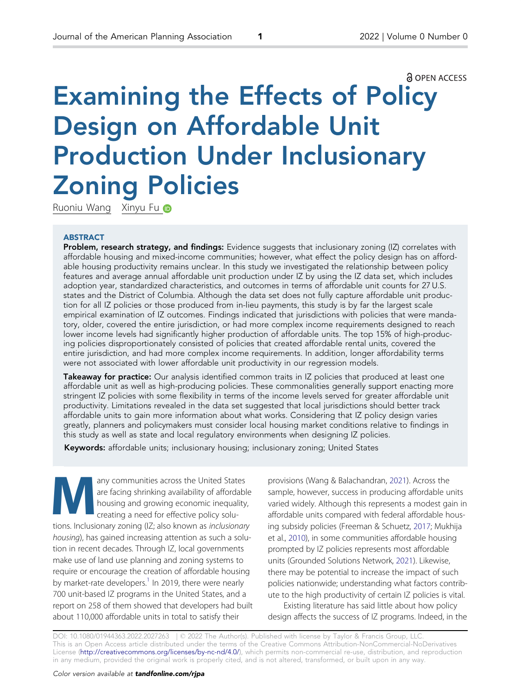#### **a** OPEN ACCESS

# <span id="page-1-0"></span>Examining the Effects of Policy Design on Affordable Unit Production Under Inclusionary Zoning Policies

Ruoniu Wang Xinyu Fu D

#### ABSTRACT

Problem, research strategy, and findings: Evidence suggests that inclusionary zoning (IZ) correlates with affordable housing and mixed-income communities; however, what effect the policy design has on affordable housing productivity remains unclear. In this study we investigated the relationship between policy features and average annual affordable unit production under IZ by using the IZ data set, which includes adoption year, standardized characteristics, and outcomes in terms of affordable unit counts for 27 U.S. states and the District of Columbia. Although the data set does not fully capture affordable unit production for all IZ policies or those produced from in-lieu payments, this study is by far the largest scale empirical examination of IZ outcomes. Findings indicated that jurisdictions with policies that were mandatory, older, covered the entire jurisdiction, or had more complex income requirements designed to reach lower income levels had significantly higher production of affordable units. The top 15% of high-producing policies disproportionately consisted of policies that created affordable rental units, covered the entire jurisdiction, and had more complex income requirements. In addition, longer affordability terms were not associated with lower affordable unit productivity in our regression models.

Takeaway for practice: Our analysis identified common traits in IZ policies that produced at least one affordable unit as well as high-producing policies. These commonalities generally support enacting more stringent IZ policies with some flexibility in terms of the income levels served for greater affordable unit productivity. Limitations revealed in the data set suggested that local jurisdictions should better track affordable units to gain more information about what works. Considering that IZ policy design varies greatly, planners and policymakers must consider local housing market conditions relative to findings in this study as well as state and local regulatory environments when designing IZ policies.

Keywords: affordable units; inclusionary housing; inclusionary zoning; United States

any communities across the United States<br>
are facing shrinking availability of affordable<br>
housing and growing economic inequality,<br>
crossing a pood for effective policy solve are facing shrinking availability of affordable creating a need for effective policy solutions. Inclusionary zoning (IZ; also known as inclusionary housing), has gained increasing attention as such a solution in recent decades. Through IZ, local governments make use of land use planning and zoning systems to require or encourage the creation of affordable housing by market-rate developers.<sup>1</sup> In 2019, there were nearly 700 unit-based IZ programs in the United States, and a report on 258 of them showed that developers had built about 110,000 affordable units in total to satisfy their

provisions (Wang & Balachandran, [2021\)](#page-15-0). Across the sample, however, success in producing affordable units varied widely. Although this represents a modest gain in affordable units compared with federal affordable housing subsidy policies (Freeman & Schuetz, [2017;](#page-15-0) Mukhija et al., [2010](#page-15-0)), in some communities affordable housing prompted by IZ policies represents most affordable units (Grounded Solutions Network, [2021](#page-15-0)). Likewise, there may be potential to increase the impact of such policies nationwide; understanding what factors contribute to the high productivity of certain IZ policies is vital. Existing literature has said little about how policy

design affects the success of IZ programs. Indeed, in the

DOI: 10.1080/01944363.2022.2027263 | © 2022 The Author(s). Published with license by Taylor & Francis Group, LLC This is an Open Access article distributed under the terms of the Creative Commons Attribution-NonCommercial-NoDerivatives License ([http://creativecommons.org/licenses/by-nc-nd/4.0/\)](http://creativecommons.org/licenses/by-nc-nd/4.0/), which permits non-commercial re-use, distribution, and reproduction in any medium, provided the original work is properly cited, and is not altered, transformed, or built upon in any way.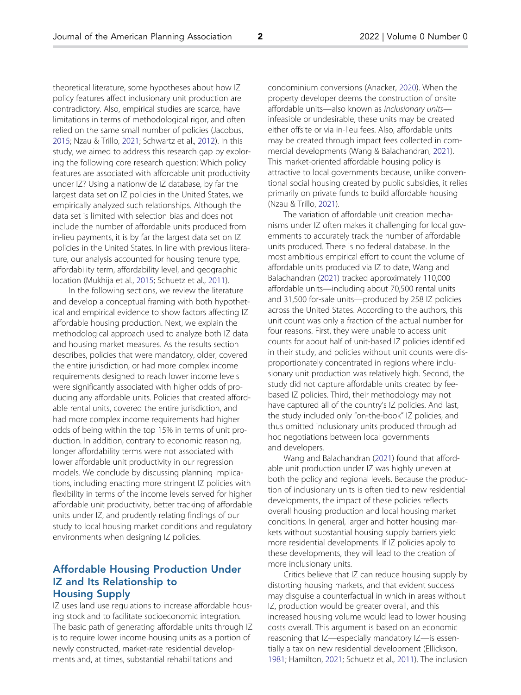<span id="page-2-0"></span>theoretical literature, some hypotheses about how IZ policy features affect inclusionary unit production are contradictory. Also, empirical studies are scarce, have limitations in terms of methodological rigor, and often relied on the same small number of policies (Jacobus, [2015;](#page-15-0) Nzau & Trillo, [2021;](#page-15-0) Schwartz et al., [2012](#page-15-0)). In this study, we aimed to address this research gap by exploring the following core research question: Which policy features are associated with affordable unit productivity under IZ? Using a nationwide IZ database, by far the largest data set on IZ policies in the United States, we empirically analyzed such relationships. Although the data set is limited with selection bias and does not include the number of affordable units produced from in-lieu payments, it is by far the largest data set on IZ policies in the United States. In line with previous literature, our analysis accounted for housing tenure type, affordability term, affordability level, and geographic location (Mukhija et al., [2015](#page-15-0); Schuetz et al., [2011\)](#page-15-0).

In the following sections, we review the literature and develop a conceptual framing with both hypothetical and empirical evidence to show factors affecting IZ affordable housing production. Next, we explain the methodological approach used to analyze both IZ data and housing market measures. As the results section describes, policies that were mandatory, older, covered the entire jurisdiction, or had more complex income requirements designed to reach lower income levels were significantly associated with higher odds of producing any affordable units. Policies that created affordable rental units, covered the entire jurisdiction, and had more complex income requirements had higher odds of being within the top 15% in terms of unit production. In addition, contrary to economic reasoning, longer affordability terms were not associated with lower affordable unit productivity in our regression models. We conclude by discussing planning implications, including enacting more stringent IZ policies with flexibility in terms of the income levels served for higher affordable unit productivity, better tracking of affordable units under IZ, and prudently relating findings of our study to local housing market conditions and regulatory environments when designing IZ policies.

# Affordable Housing Production Under IZ and Its Relationship to Housing Supply

IZ uses land use regulations to increase affordable housing stock and to facilitate socioeconomic integration. The basic path of generating affordable units through IZ is to require lower income housing units as a portion of newly constructed, market-rate residential developments and, at times, substantial rehabilitations and

condominium conversions (Anacker, [2020\)](#page-14-0). When the property developer deems the construction of onsite affordable units—also known as inclusionary units infeasible or undesirable, these units may be created either offsite or via in-lieu fees. Also, affordable units may be created through impact fees collected in commercial developments (Wang & Balachandran, [2021](#page-15-0)). This market-oriented affordable housing policy is attractive to local governments because, unlike conventional social housing created by public subsidies, it relies primarily on private funds to build affordable housing (Nzau & Trillo, [2021\)](#page-15-0).

The variation of affordable unit creation mechanisms under IZ often makes it challenging for local governments to accurately track the number of affordable units produced. There is no federal database. In the most ambitious empirical effort to count the volume of affordable units produced via IZ to date, Wang and Balachandran [\(2021\)](#page-15-0) tracked approximately 110,000 affordable units—including about 70,500 rental units and 31,500 for-sale units—produced by 258 IZ policies across the United States. According to the authors, this unit count was only a fraction of the actual number for four reasons. First, they were unable to access unit counts for about half of unit-based IZ policies identified in their study, and policies without unit counts were disproportionately concentrated in regions where inclusionary unit production was relatively high. Second, the study did not capture affordable units created by feebased IZ policies. Third, their methodology may not have captured all of the country's IZ policies. And last, the study included only "on-the-book" IZ policies, and thus omitted inclusionary units produced through ad hoc negotiations between local governments and developers.

Wang and Balachandran [\(2021\)](#page-15-0) found that affordable unit production under IZ was highly uneven at both the policy and regional levels. Because the production of inclusionary units is often tied to new residential developments, the impact of these policies reflects overall housing production and local housing market conditions. In general, larger and hotter housing markets without substantial housing supply barriers yield more residential developments. If IZ policies apply to these developments, they will lead to the creation of more inclusionary units.

Critics believe that IZ can reduce housing supply by distorting housing markets, and that evident success may disguise a counterfactual in which in areas without IZ, production would be greater overall, and this increased housing volume would lead to lower housing costs overall. This argument is based on an economic reasoning that IZ—especially mandatory IZ—is essentially a tax on new residential development (Ellickson, [1981](#page-15-0); Hamilton, [2021](#page-15-0); Schuetz et al., [2011](#page-15-0)). The inclusion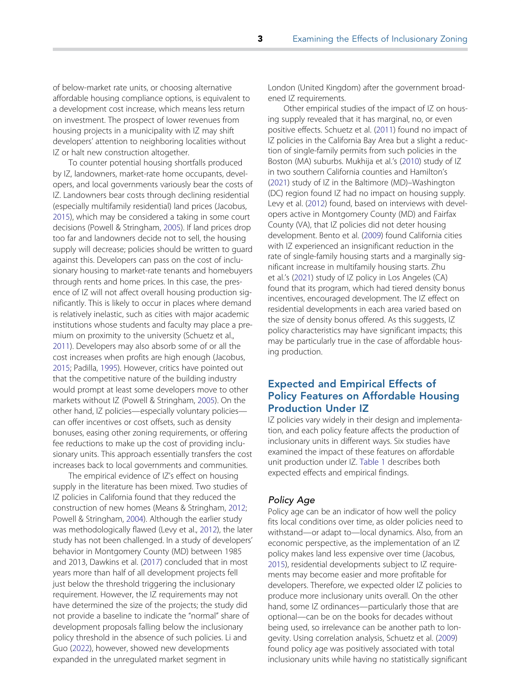<span id="page-3-0"></span>of below-market rate units, or choosing alternative affordable housing compliance options, is equivalent to a development cost increase, which means less return on investment. The prospect of lower revenues from housing projects in a municipality with IZ may shift developers' attention to neighboring localities without IZ or halt new construction altogether.

To counter potential housing shortfalls produced by IZ, landowners, market-rate home occupants, developers, and local governments variously bear the costs of IZ. Landowners bear costs through declining residential (especially multifamily residential) land prices (Jacobus, [2015\)](#page-15-0), which may be considered a taking in some court decisions (Powell & Stringham, [2005\)](#page-15-0). If land prices drop too far and landowners decide not to sell, the housing supply will decrease; policies should be written to guard against this. Developers can pass on the cost of inclusionary housing to market-rate tenants and homebuyers through rents and home prices. In this case, the presence of IZ will not affect overall housing production significantly. This is likely to occur in places where demand is relatively inelastic, such as cities with major academic institutions whose students and faculty may place a premium on proximity to the university (Schuetz et al., [2011\)](#page-15-0). Developers may also absorb some of or all the cost increases when profits are high enough (Jacobus, [2015;](#page-15-0) Padilla, [1995](#page-15-0)). However, critics have pointed out that the competitive nature of the building industry would prompt at least some developers move to other markets without IZ (Powell & Stringham, [2005\)](#page-15-0). On the other hand, IZ policies—especially voluntary policies can offer incentives or cost offsets, such as density bonuses, easing other zoning requirements, or offering fee reductions to make up the cost of providing inclusionary units. This approach essentially transfers the cost increases back to local governments and communities.

The empirical evidence of IZ's effect on housing supply in the literature has been mixed. Two studies of IZ policies in California found that they reduced the construction of new homes (Means & Stringham, [2012;](#page-15-0) Powell & Stringham, [2004\)](#page-15-0). Although the earlier study was methodologically flawed (Levy et al., [2012](#page-15-0)), the later study has not been challenged. In a study of developers' behavior in Montgomery County (MD) between 1985 and 2013, Dawkins et al. ([2017](#page-15-0)) concluded that in most years more than half of all development projects fell just below the threshold triggering the inclusionary requirement. However, the IZ requirements may not have determined the size of the projects; the study did not provide a baseline to indicate the "normal" share of development proposals falling below the inclusionary policy threshold in the absence of such policies. Li and Guo [\(2022\)](#page-15-0), however, showed new developments expanded in the unregulated market segment in

London (United Kingdom) after the government broadened IZ requirements.

Other empirical studies of the impact of IZ on housing supply revealed that it has marginal, no, or even positive effects. Schuetz et al. ([2011](#page-15-0)) found no impact of IZ policies in the California Bay Area but a slight a reduction of single-family permits from such policies in the Boston (MA) suburbs. Mukhija et al.'s [\(2010\)](#page-15-0) study of IZ in two southern California counties and Hamilton's [\(2021\)](#page-15-0) study of IZ in the Baltimore (MD)–Washington (DC) region found IZ had no impact on housing supply. Levy et al. ([2012](#page-15-0)) found, based on interviews with developers active in Montgomery County (MD) and Fairfax County (VA), that IZ policies did not deter housing development. Bento et al. ([2009](#page-14-0)) found California cities with IZ experienced an insignificant reduction in the rate of single-family housing starts and a marginally significant increase in multifamily housing starts. Zhu et al.'s [\(2021\)](#page-15-0) study of IZ policy in Los Angeles (CA) found that its program, which had tiered density bonus incentives, encouraged development. The IZ effect on residential developments in each area varied based on the size of density bonus offered. As this suggests, IZ policy characteristics may have significant impacts; this may be particularly true in the case of affordable housing production.

# Expected and Empirical Effects of Policy Features on Affordable Housing Production Under IZ

IZ policies vary widely in their design and implementation, and each policy feature affects the production of inclusionary units in different ways. Six studies have examined the impact of these features on affordable unit production under IZ. [Table 1](#page-4-0) describes both expected effects and empirical findings.

#### Policy Age

Policy age can be an indicator of how well the policy fits local conditions over time, as older policies need to withstand—or adapt to—local dynamics. Also, from an economic perspective, as the implementation of an IZ policy makes land less expensive over time (Jacobus, [2015](#page-15-0)), residential developments subject to IZ requirements may become easier and more profitable for developers. Therefore, we expected older IZ policies to produce more inclusionary units overall. On the other hand, some IZ ordinances—particularly those that are optional—can be on the books for decades without being used, so irrelevance can be another path to longevity. Using correlation analysis, Schuetz et al. [\(2009\)](#page-15-0) found policy age was positively associated with total inclusionary units while having no statistically significant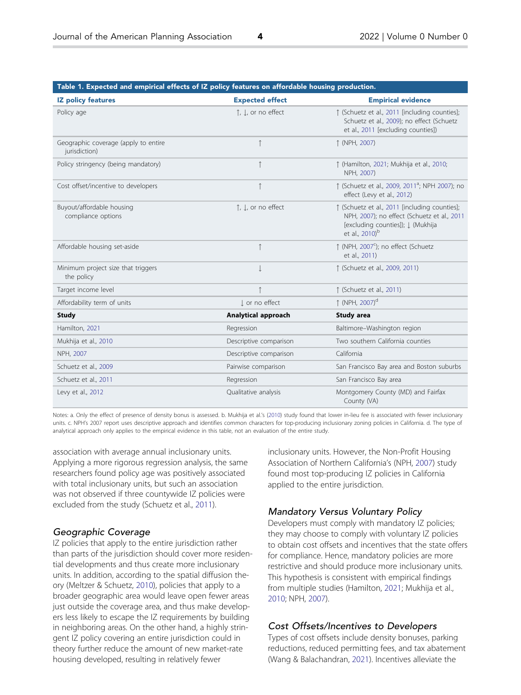<span id="page-4-0"></span>

| Table 1. Expected and empirical effects of IZ policy features on affordable housing production. |                        |                                                                                                                                                                  |
|-------------------------------------------------------------------------------------------------|------------------------|------------------------------------------------------------------------------------------------------------------------------------------------------------------|
| <b>IZ policy features</b>                                                                       | <b>Expected effect</b> | <b>Empirical evidence</b>                                                                                                                                        |
| Policy age                                                                                      | ↑, ↓, or no effect     | ↑ (Schuetz et al., 2011 [including counties];<br>Schuetz et al., 2009); no effect (Schuetz<br>et al., 2011 [excluding counties])                                 |
| Geographic coverage (apply to entire<br>jurisdiction)                                           | $\uparrow$             | ↑ (NPH, 2007)                                                                                                                                                    |
| Policy stringency (being mandatory)                                                             | $\uparrow$             | ↑ (Hamilton, 2021; Mukhija et al., 2010;<br>NPH, 2007)                                                                                                           |
| Cost offset/incentive to developers                                                             | $\uparrow$             | ↑ (Schuetz et al., 2009, 2011 <sup>a</sup> ; NPH 2007); no<br>effect (Levy et al., 2012)                                                                         |
| Buyout/affordable housing<br>compliance options                                                 | ↑. I., or no effect    | 1 (Schuetz et al., 2011 [including counties];<br>NPH, 2007); no effect (Schuetz et al., 2011<br>[excluding counties]); J. (Mukhija<br>et al., 2010) <sup>b</sup> |
| Affordable housing set-aside                                                                    | $\uparrow$             | $\uparrow$ (NPH, 2007 <sup>c</sup> ); no effect (Schuetz<br>et al., 2011)                                                                                        |
| Minimum project size that triggers<br>the policy                                                | $\downarrow$           | ↑ (Schuetz et al., 2009, 2011)                                                                                                                                   |
| Target income level                                                                             |                        | ↑ (Schuetz et al., 2011)                                                                                                                                         |
| Affordability term of units                                                                     | I or no effect         | ↑ (NPH, 2007) <sup>d</sup>                                                                                                                                       |
| <b>Study</b>                                                                                    | Analytical approach    | <b>Study area</b>                                                                                                                                                |
| Hamilton, 2021                                                                                  | Regression             | Baltimore-Washington region                                                                                                                                      |
| Mukhija et al., 2010                                                                            | Descriptive comparison | Two southern California counties                                                                                                                                 |
| NPH, 2007                                                                                       | Descriptive comparison | California                                                                                                                                                       |
| Schuetz et al., 2009                                                                            | Pairwise comparison    | San Francisco Bay area and Boston suburbs                                                                                                                        |
| Schuetz et al., 2011                                                                            | Regression             | San Francisco Bay area                                                                                                                                           |
| Levy et al., 2012                                                                               | Qualitative analysis   | Montgomery County (MD) and Fairfax<br>County (VA)                                                                                                                |

Notes: a. Only the effect of presence of density bonus is assessed. b. Mukhija et al.'s [\(2010\)](#page-15-0) study found that lower in-lieu fee is associated with fewer inclusionary units. c. NPH's 2007 report uses descriptive approach and identifies common characters for top-producing inclusionary zoning policies in California. d. The type of analytical approach only applies to the empirical evidence in this table, not an evaluation of the entire study.

association with average annual inclusionary units. Applying a more rigorous regression analysis, the same researchers found policy age was positively associated with total inclusionary units, but such an association was not observed if three countywide IZ policies were excluded from the study (Schuetz et al., [2011](#page-15-0)).

#### Geographic Coverage

IZ policies that apply to the entire jurisdiction rather than parts of the jurisdiction should cover more residential developments and thus create more inclusionary units. In addition, according to the spatial diffusion theory (Meltzer & Schuetz, [2010\)](#page-15-0), policies that apply to a broader geographic area would leave open fewer areas just outside the coverage area, and thus make developers less likely to escape the IZ requirements by building in neighboring areas. On the other hand, a highly stringent IZ policy covering an entire jurisdiction could in theory further reduce the amount of new market-rate housing developed, resulting in relatively fewer

inclusionary units. However, the Non-Profit Housing Association of Northern California's (NPH, [2007](#page-15-0)) study found most top-producing IZ policies in California applied to the entire jurisdiction.

#### Mandatory Versus Voluntary Policy

Developers must comply with mandatory IZ policies; they may choose to comply with voluntary IZ policies to obtain cost offsets and incentives that the state offers for compliance. Hence, mandatory policies are more restrictive and should produce more inclusionary units. This hypothesis is consistent with empirical findings from multiple studies (Hamilton, [2021;](#page-15-0) Mukhija et al., [2010](#page-15-0); NPH, [2007](#page-15-0)).

#### Cost Offsets/Incentives to Developers

Types of cost offsets include density bonuses, parking reductions, reduced permitting fees, and tax abatement (Wang & Balachandran, [2021\)](#page-15-0). Incentives alleviate the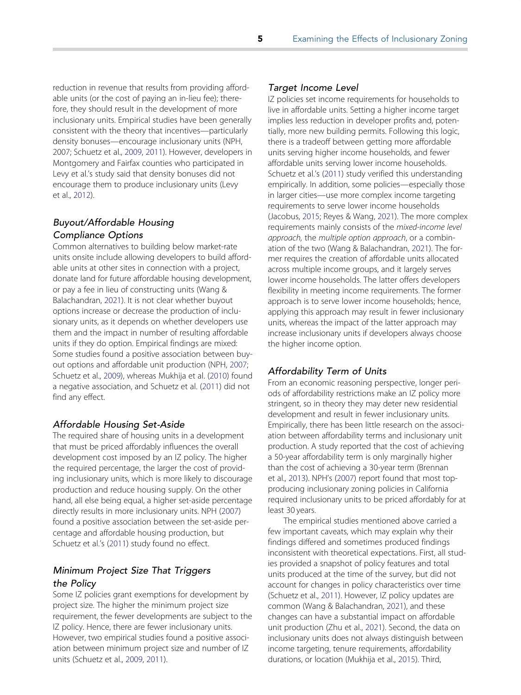<span id="page-5-0"></span>reduction in revenue that results from providing affordable units (or the cost of paying an in-lieu fee); therefore, they should result in the development of more inclusionary units. Empirical studies have been generally consistent with the theory that incentives—particularly density bonuses—encourage inclusionary units (NPH, 2007; Schuetz et al., [2009,](#page-15-0) [2011\)](#page-15-0). However, developers in Montgomery and Fairfax counties who participated in Levy et al.'s study said that density bonuses did not encourage them to produce inclusionary units (Levy et al., [2012](#page-15-0)).

## Buyout/Affordable Housing Compliance Options

Common alternatives to building below market-rate units onsite include allowing developers to build affordable units at other sites in connection with a project, donate land for future affordable housing development, or pay a fee in lieu of constructing units (Wang & Balachandran, [2021](#page-15-0)). It is not clear whether buyout options increase or decrease the production of inclusionary units, as it depends on whether developers use them and the impact in number of resulting affordable units if they do option. Empirical findings are mixed: Some studies found a positive association between buyout options and affordable unit production (NPH, [2007](#page-15-0); Schuetz et al., [2009\)](#page-15-0), whereas Mukhija et al. [\(2010\)](#page-15-0) found a negative association, and Schuetz et al. ([2011](#page-15-0)) did not find any effect.

#### Affordable Housing Set-Aside

The required share of housing units in a development that must be priced affordably influences the overall development cost imposed by an IZ policy. The higher the required percentage, the larger the cost of providing inclusionary units, which is more likely to discourage production and reduce housing supply. On the other hand, all else being equal, a higher set-aside percentage directly results in more inclusionary units. NPH ([2007](#page-15-0)) found a positive association between the set-aside percentage and affordable housing production, but Schuetz et al.'s ([2011](#page-15-0)) study found no effect.

## Minimum Project Size That Triggers the Policy

Some IZ policies grant exemptions for development by project size. The higher the minimum project size requirement, the fewer developments are subject to the IZ policy. Hence, there are fewer inclusionary units. However, two empirical studies found a positive association between minimum project size and number of IZ units (Schuetz et al., [2009,](#page-15-0) [2011\)](#page-15-0).

#### Target Income Level

IZ policies set income requirements for households to live in affordable units. Setting a higher income target implies less reduction in developer profits and, potentially, more new building permits. Following this logic, there is a tradeoff between getting more affordable units serving higher income households, and fewer affordable units serving lower income households. Schuetz et al.'s ([2011](#page-15-0)) study verified this understanding empirically. In addition, some policies—especially those in larger cities—use more complex income targeting requirements to serve lower income households (Jacobus, [2015](#page-15-0); Reyes & Wang, [2021\)](#page-15-0). The more complex requirements mainly consists of the mixed-income level approach, the multiple option approach, or a combination of the two (Wang & Balachandran, [2021\)](#page-15-0). The former requires the creation of affordable units allocated across multiple income groups, and it largely serves lower income households. The latter offers developers flexibility in meeting income requirements. The former approach is to serve lower income households; hence, applying this approach may result in fewer inclusionary units, whereas the impact of the latter approach may increase inclusionary units if developers always choose the higher income option.

#### Affordability Term of Units

From an economic reasoning perspective, longer periods of affordability restrictions make an IZ policy more stringent, so in theory they may deter new residential development and result in fewer inclusionary units. Empirically, there has been little research on the association between affordability terms and inclusionary unit production. A study reported that the cost of achieving a 50-year affordability term is only marginally higher than the cost of achieving a 30-year term (Brennan et al., [2013](#page-15-0)). NPH's [\(2007\)](#page-15-0) report found that most topproducing inclusionary zoning policies in California required inclusionary units to be priced affordably for at least 30 years.

The empirical studies mentioned above carried a few important caveats, which may explain why their findings differed and sometimes produced findings inconsistent with theoretical expectations. First, all studies provided a snapshot of policy features and total units produced at the time of the survey, but did not account for changes in policy characteristics over time (Schuetz et al., [2011\)](#page-15-0). However, IZ policy updates are common (Wang & Balachandran, [2021](#page-15-0)), and these changes can have a substantial impact on affordable unit production (Zhu et al., [2021](#page-15-0)). Second, the data on inclusionary units does not always distinguish between income targeting, tenure requirements, affordability durations, or location (Mukhija et al., [2015\)](#page-15-0). Third,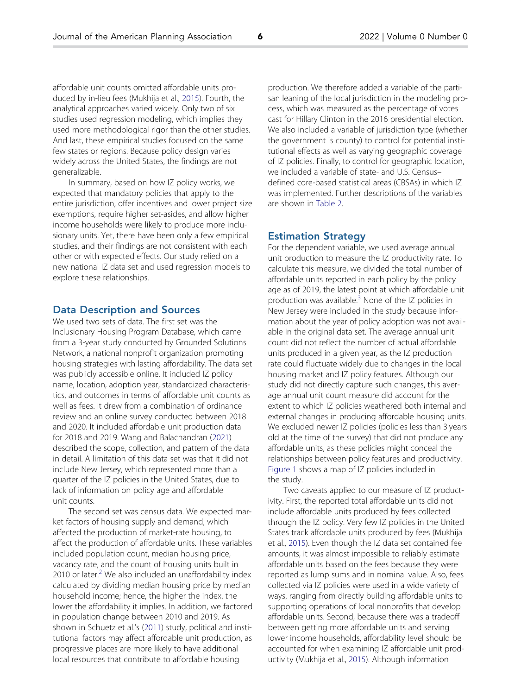<span id="page-6-0"></span>affordable unit counts omitted affordable units produced by in-lieu fees (Mukhija et al., [2015](#page-15-0)). Fourth, the analytical approaches varied widely. Only two of six studies used regression modeling, which implies they used more methodological rigor than the other studies. And last, these empirical studies focused on the same few states or regions. Because policy design varies widely across the United States, the findings are not generalizable.

In summary, based on how IZ policy works, we expected that mandatory policies that apply to the entire jurisdiction, offer incentives and lower project size exemptions, require higher set-asides, and allow higher income households were likely to produce more inclusionary units. Yet, there have been only a few empirical studies, and their findings are not consistent with each other or with expected effects. Our study relied on a new national IZ data set and used regression models to explore these relationships.

#### Data Description and Sources

We used two sets of data. The first set was the Inclusionary Housing Program Database, which came from a 3-year study conducted by Grounded Solutions Network, a national nonprofit organization promoting housing strategies with lasting affordability. The data set was publicly accessible online. It included IZ policy name, location, adoption year, standardized characteristics, and outcomes in terms of affordable unit counts as well as fees. It drew from a combination of ordinance review and an online survey conducted between 2018 and 2020. It included affordable unit production data for 2018 and 2019. Wang and Balachandran ([2021](#page-15-0)) described the scope, collection, and pattern of the data in detail. A limitation of this data set was that it did not include New Jersey, which represented more than a quarter of the IZ policies in the United States, due to lack of information on policy age and affordable unit counts.

The second set was census data. We expected market factors of housing supply and demand, which affected the production of market-rate housing, to affect the production of affordable units. These variables included population count, median housing price, vacancy rate, and the count of housing units built in [2](#page-14-0)010 or later. $2$  We also included an unaffordability index calculated by dividing median housing price by median household income; hence, the higher the index, the lower the affordability it implies. In addition, we factored in population change between 2010 and 2019. As shown in Schuetz et al.'s [\(2011\)](#page-15-0) study, political and institutional factors may affect affordable unit production, as progressive places are more likely to have additional local resources that contribute to affordable housing

production. We therefore added a variable of the partisan leaning of the local jurisdiction in the modeling process, which was measured as the percentage of votes cast for Hillary Clinton in the 2016 presidential election. We also included a variable of jurisdiction type (whether the government is county) to control for potential institutional effects as well as varying geographic coverage of IZ policies. Finally, to control for geographic location, we included a variable of state- and U.S. Census– defined core-based statistical areas (CBSAs) in which IZ was implemented. Further descriptions of the variables are shown in [Table 2.](#page-7-0)

#### Estimation Strategy

For the dependent variable, we used average annual unit production to measure the IZ productivity rate. To calculate this measure, we divided the total number of affordable units reported in each policy by the policy age as of 2019, the latest point at which affordable unit production was available.<sup>[3](#page-14-0)</sup> None of the IZ policies in New Jersey were included in the study because information about the year of policy adoption was not available in the original data set. The average annual unit count did not reflect the number of actual affordable units produced in a given year, as the IZ production rate could fluctuate widely due to changes in the local housing market and IZ policy features. Although our study did not directly capture such changes, this average annual unit count measure did account for the extent to which IZ policies weathered both internal and external changes in producing affordable housing units. We excluded newer IZ policies (policies less than 3 years old at the time of the survey) that did not produce any affordable units, as these policies might conceal the relationships between policy features and productivity. [Figure 1](#page-8-0) shows a map of IZ policies included in the study.

Two caveats applied to our measure of IZ productivity. First, the reported total affordable units did not include affordable units produced by fees collected through the IZ policy. Very few IZ policies in the United States track affordable units produced by fees (Mukhija et al., [2015](#page-15-0)). Even though the IZ data set contained fee amounts, it was almost impossible to reliably estimate affordable units based on the fees because they were reported as lump sums and in nominal value. Also, fees collected via IZ policies were used in a wide variety of ways, ranging from directly building affordable units to supporting operations of local nonprofits that develop affordable units. Second, because there was a tradeoff between getting more affordable units and serving lower income households, affordability level should be accounted for when examining IZ affordable unit productivity (Mukhija et al., [2015](#page-15-0)). Although information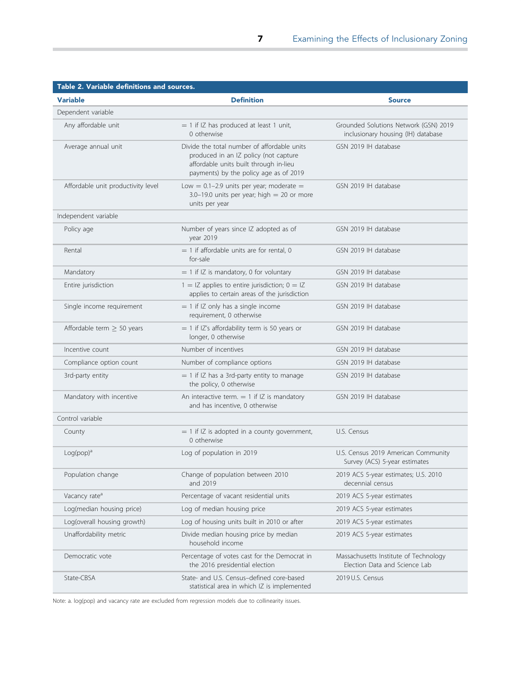<span id="page-7-0"></span>

| <b>Variable</b>                    | <b>Definition</b>                                                                                                                                                        | <b>Source</b>                                                               |
|------------------------------------|--------------------------------------------------------------------------------------------------------------------------------------------------------------------------|-----------------------------------------------------------------------------|
| Dependent variable                 |                                                                                                                                                                          |                                                                             |
| Any affordable unit                | $= 1$ if IZ has produced at least 1 unit,<br>0 otherwise                                                                                                                 | Grounded Solutions Network (GSN) 2019<br>inclusionary housing (IH) database |
| Average annual unit                | Divide the total number of affordable units<br>produced in an IZ policy (not capture<br>affordable units built through in-lieu<br>payments) by the policy age as of 2019 | GSN 2019 IH database                                                        |
| Affordable unit productivity level | Low = $0.1-2.9$ units per year; moderate =<br>$3.0-19.0$ units per year; high = 20 or more<br>units per year                                                             | GSN 2019 IH database                                                        |
| Independent variable               |                                                                                                                                                                          |                                                                             |
| Policy age                         | Number of years since IZ adopted as of<br>year 2019                                                                                                                      | GSN 2019 IH database                                                        |
| Rental                             | $=$ 1 if affordable units are for rental, 0<br>for-sale                                                                                                                  | GSN 2019 IH database                                                        |
| Mandatory                          | $=$ 1 if IZ is mandatory, 0 for voluntary                                                                                                                                | GSN 2019 IH database                                                        |
| Entire jurisdiction                | $1 = IZ$ applies to entire jurisdiction; $0 = IZ$<br>applies to certain areas of the jurisdiction                                                                        | GSN 2019 IH database                                                        |
| Single income requirement          | $= 1$ if IZ only has a single income<br>requirement, 0 otherwise                                                                                                         | GSN 2019 IH database                                                        |
| Affordable term $> 50$ years       | $=$ 1 if IZ's affordability term is 50 years or<br>longer, 0 otherwise                                                                                                   | GSN 2019 IH database                                                        |
| Incentive count                    | Number of incentives                                                                                                                                                     | GSN 2019 IH database                                                        |
| Compliance option count            | Number of compliance options                                                                                                                                             | GSN 2019 IH database                                                        |
| 3rd-party entity                   | $= 1$ if IZ has a 3rd-party entity to manage<br>the policy, 0 otherwise                                                                                                  | GSN 2019 IH database                                                        |
| Mandatory with incentive           | An interactive term. $= 1$ if IZ is mandatory<br>and has incentive, 0 otherwise                                                                                          | GSN 2019 IH database                                                        |
| Control variable                   |                                                                                                                                                                          |                                                                             |
| County                             | $=$ 1 if IZ is adopted in a county government,<br>0 otherwise                                                                                                            | U.S. Census                                                                 |
| $Log(pop)^a$                       | Log of population in 2019                                                                                                                                                | U.S. Census 2019 American Community<br>Survey (ACS) 5-year estimates        |
| Population change                  | Change of population between 2010<br>and 2019                                                                                                                            | 2019 ACS 5-year estimates; U.S. 2010<br>decennial census                    |
| Vacancy rate <sup>a</sup>          | Percentage of vacant residential units                                                                                                                                   | 2019 ACS 5-year estimates                                                   |
| Log(median housing price)          | Log of median housing price                                                                                                                                              | 2019 ACS 5-year estimates                                                   |
| Log(overall housing growth)        | Log of housing units built in 2010 or after                                                                                                                              | 2019 ACS 5-year estimates                                                   |
| Unaffordability metric             | Divide median housing price by median<br>household income                                                                                                                | 2019 ACS 5-year estimates                                                   |
| Democratic vote                    | Percentage of votes cast for the Democrat in<br>the 2016 presidential election                                                                                           | Massachusetts Institute of Technology<br>Election Data and Science Lab      |
| State-CBSA                         | State- and U.S. Census-defined core-based<br>statistical area in which IZ is implemented                                                                                 | 2019 U.S. Census                                                            |

Note: a. log(pop) and vacancy rate are excluded from regression models due to collinearity issues.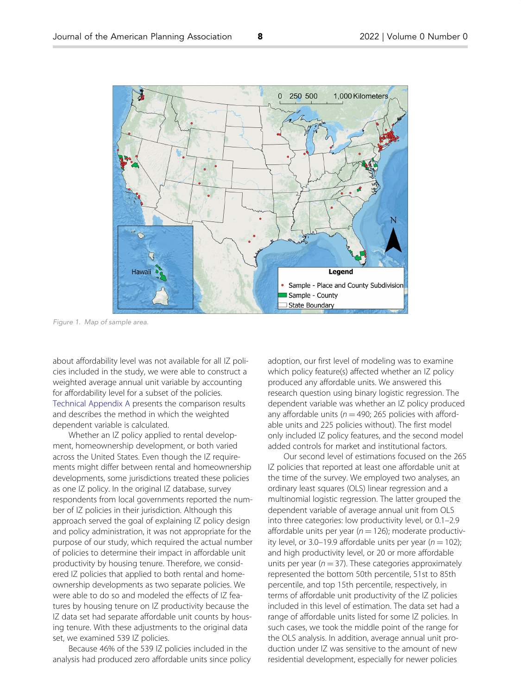<span id="page-8-0"></span>

Figure 1. Map of sample area.

about affordability level was not available for all IZ policies included in the study, we were able to construct a weighted average annual unit variable by accounting for affordability level for a subset of the policies. [Technical Appendix A](https://doi.org/10.1080/01944363.2022.2027263) presents the comparison results and describes the method in which the weighted dependent variable is calculated.

Whether an IZ policy applied to rental development, homeownership development, or both varied across the United States. Even though the IZ requirements might differ between rental and homeownership developments, some jurisdictions treated these policies as one IZ policy. In the original IZ database, survey respondents from local governments reported the number of IZ policies in their jurisdiction. Although this approach served the goal of explaining IZ policy design and policy administration, it was not appropriate for the purpose of our study, which required the actual number of policies to determine their impact in affordable unit productivity by housing tenure. Therefore, we considered IZ policies that applied to both rental and homeownership developments as two separate policies. We were able to do so and modeled the effects of IZ features by housing tenure on IZ productivity because the IZ data set had separate affordable unit counts by housing tenure. With these adjustments to the original data set, we examined 539 IZ policies.

Because 46% of the 539 IZ policies included in the analysis had produced zero affordable units since policy adoption, our first level of modeling was to examine which policy feature(s) affected whether an IZ policy produced any affordable units. We answered this research question using binary logistic regression. The dependent variable was whether an IZ policy produced any affordable units ( $n = 490$ ; 265 policies with affordable units and 225 policies without). The first model only included IZ policy features, and the second model added controls for market and institutional factors.

Our second level of estimations focused on the 265 IZ policies that reported at least one affordable unit at the time of the survey. We employed two analyses, an ordinary least squares (OLS) linear regression and a multinomial logistic regression. The latter grouped the dependent variable of average annual unit from OLS into three categories: low productivity level, or 0.1–2.9 affordable units per year ( $n = 126$ ); moderate productivity level, or 3.0–19.9 affordable units per year ( $n = 102$ ); and high productivity level, or 20 or more affordable units per year ( $n = 37$ ). These categories approximately represented the bottom 50th percentile, 51st to 85th percentile, and top 15th percentile, respectively, in terms of affordable unit productivity of the IZ policies included in this level of estimation. The data set had a range of affordable units listed for some IZ policies. In such cases, we took the middle point of the range for the OLS analysis. In addition, average annual unit production under IZ was sensitive to the amount of new residential development, especially for newer policies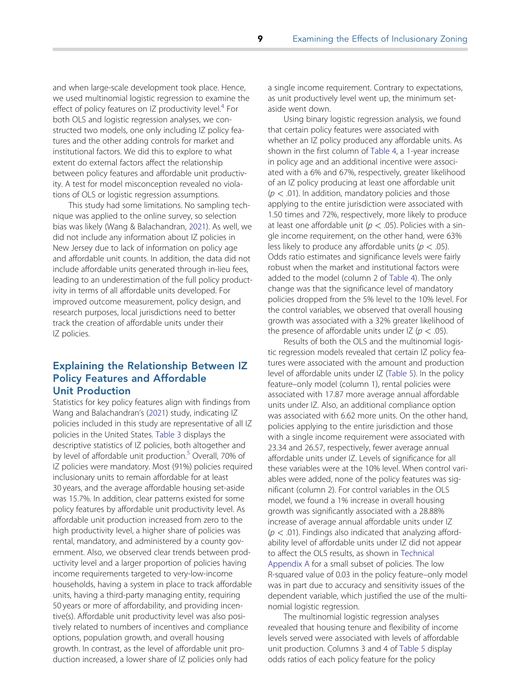<span id="page-9-0"></span>and when large-scale development took place. Hence, we used multinomial logistic regression to examine the effect of policy features on IZ productivity level.<sup>[4](#page-14-0)</sup> For both OLS and logistic regression analyses, we constructed two models, one only including IZ policy features and the other adding controls for market and institutional factors. We did this to explore to what extent do external factors affect the relationship between policy features and affordable unit productivity. A test for model misconception revealed no violations of OLS or logistic regression assumptions.

This study had some limitations. No sampling technique was applied to the online survey, so selection bias was likely (Wang & Balachandran, [2021\)](#page-15-0). As well, we did not include any information about IZ policies in New Jersey due to lack of information on policy age and affordable unit counts. In addition, the data did not include affordable units generated through in-lieu fees, leading to an underestimation of the full policy productivity in terms of all affordable units developed. For improved outcome measurement, policy design, and research purposes, local jurisdictions need to better track the creation of affordable units under their IZ policies.

# Explaining the Relationship Between IZ Policy Features and Affordable Unit Production

Statistics for key policy features align with findings from Wang and Balachandran's ([2021](#page-15-0)) study, indicating IZ policies included in this study are representative of all IZ policies in the United States. [Table 3](#page-10-0) displays the descriptive statistics of IZ policies, both altogether and by level of affordable unit production.<sup>[5](#page-14-0)</sup> Overall, 70% of IZ policies were mandatory. Most (91%) policies required inclusionary units to remain affordable for at least 30 years, and the average affordable housing set-aside was 15.7%. In addition, clear patterns existed for some policy features by affordable unit productivity level. As affordable unit production increased from zero to the high productivity level, a higher share of policies was rental, mandatory, and administered by a county government. Also, we observed clear trends between productivity level and a larger proportion of policies having income requirements targeted to very-low-income households, having a system in place to track affordable units, having a third-party managing entity, requiring 50 years or more of affordability, and providing incentive(s). Affordable unit productivity level was also positively related to numbers of incentives and compliance options, population growth, and overall housing growth. In contrast, as the level of affordable unit production increased, a lower share of IZ policies only had

a single income requirement. Contrary to expectations, as unit productively level went up, the minimum setaside went down.

Using binary logistic regression analysis, we found that certain policy features were associated with whether an IZ policy produced any affordable units. As shown in the first column of [Table 4,](#page-11-0) a 1-year increase in policy age and an additional incentive were associated with a 6% and 67%, respectively, greater likelihood of an IZ policy producing at least one affordable unit  $(p < .01)$ . In addition, mandatory policies and those applying to the entire jurisdiction were associated with 1.50 times and 72%, respectively, more likely to produce at least one affordable unit ( $p < .05$ ). Policies with a single income requirement, on the other hand, were 63% less likely to produce any affordable units ( $p < .05$ ). Odds ratio estimates and significance levels were fairly robust when the market and institutional factors were added to the model (column 2 of [Table 4](#page-11-0)). The only change was that the significance level of mandatory policies dropped from the 5% level to the 10% level. For the control variables, we observed that overall housing growth was associated with a 32% greater likelihood of the presence of affordable units under  $|Z (p < .05)|$ .

Results of both the OLS and the multinomial logistic regression models revealed that certain IZ policy features were associated with the amount and production level of affordable units under IZ [\(Table 5\)](#page-12-0). In the policy feature–only model (column 1), rental policies were associated with 17.87 more average annual affordable units under IZ. Also, an additional compliance option was associated with 6.62 more units. On the other hand, policies applying to the entire jurisdiction and those with a single income requirement were associated with 23.34 and 26.57, respectively, fewer average annual affordable units under IZ. Levels of significance for all these variables were at the 10% level. When control variables were added, none of the policy features was significant (column 2). For control variables in the OLS model, we found a 1% increase in overall housing growth was significantly associated with a 28.88% increase of average annual affordable units under IZ  $(p < .01)$ . Findings also indicated that analyzing affordability level of affordable units under IZ did not appear to affect the OLS results, as shown in [Technical](https://doi.org/10.1080/01944363.2022.2027263) [Appendix A](https://doi.org/10.1080/01944363.2022.2027263) for a small subset of policies. The low R-squared value of 0.03 in the policy feature–only model was in part due to accuracy and sensitivity issues of the dependent variable, which justified the use of the multinomial logistic regression.

The multinomial logistic regression analyses revealed that housing tenure and flexibility of income levels served were associated with levels of affordable unit production. Columns 3 and 4 of [Table 5](#page-12-0) display odds ratios of each policy feature for the policy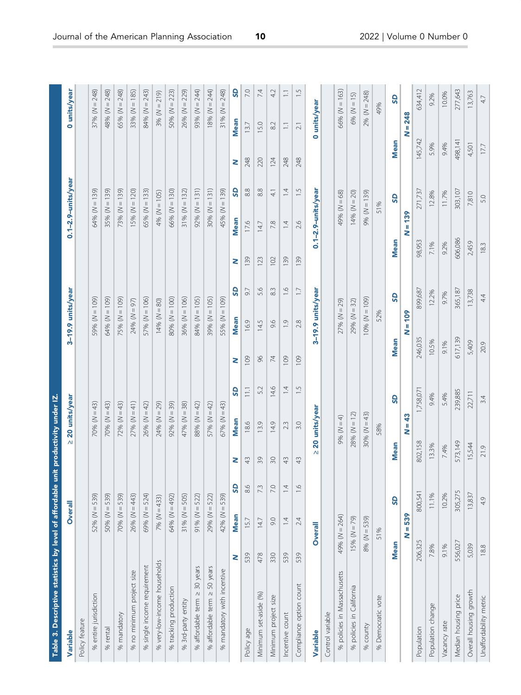<span id="page-10-0"></span>

| Table 3. Descriptive statistics by level of affordable unit productivity under IZ. |                |                      |               |                  |                |             |                   |                          |         |                          |                      |         |                     |               |
|------------------------------------------------------------------------------------|----------------|----------------------|---------------|------------------|----------------|-------------|-------------------|--------------------------|---------|--------------------------|----------------------|---------|---------------------|---------------|
| Variable                                                                           |                | Overall              |               | ≥ 20 units/year  |                |             | 3-19.9 units/year |                          |         | $0.1 - 2.9 - units/year$ |                      |         | 0 units/year        |               |
| Policy feature                                                                     |                |                      |               |                  |                |             |                   |                          |         |                          |                      |         |                     |               |
| % entire jurisdiction                                                              |                | $52% (N = 539)$      |               | $70% (N = 43)$   |                |             | 59% ( $N = 109$ ) |                          |         | $64% (N = 139)$          |                      |         | $37% (N = 248)$     |               |
| % rental                                                                           |                | $50% (N = 539)$      |               | $70% (N = 43)$   |                |             | $64% (N = 109)$   |                          |         | 35% ( $N = 139$ )        |                      |         | $48%$ ( $N = 248$ ) |               |
| % mandatory                                                                        |                | $70% (N = 539)$      |               | $72% (N = 43)$   |                |             | $75% (N = 109)$   |                          |         | $73% (N = 139)$          |                      |         | 65% ( $N = 248$ )   |               |
| % no minimum project size                                                          |                | $26%$ (N = 443)      |               | $27% (N = 41)$   |                |             | $24% (N = 97)$    |                          |         | $15% (N = 120)$          |                      |         | 33% ( $N = 185$ )   |               |
| % single income requirement                                                        |                | 69% (N = 524)        |               | $26% (N = 42)$   |                |             | $57% (N = 106)$   |                          |         | 65% ( $N = 133$ )        |                      |         | 84% ( $N = 243$ )   |               |
| % very-low-income households                                                       |                | $7% (N = 433)$       |               | $24% (N = 29)$   |                |             | $14% (N = 80)$    |                          |         | $4% (N = 105)$           |                      |         | 3% ( $N = 219$ )    |               |
| % tracking production                                                              |                | 64% (N = 492)        |               | $92\% (N = 39)$  |                |             | $80% (N = 100)$   |                          |         | $66% (N = 130)$          |                      |         | 50% ( $N = 223$ )   |               |
| % 3rd-party entity                                                                 |                | $31\% (N = 505)$     |               | $47% (N = 38)$   |                |             | $36% (N = 106)$   |                          |         | $31\% (N = 132)$         |                      |         | $26%$ ( $N = 229$ ) |               |
| % affordable term ≥ 30 years                                                       |                | $91\% (N = 522)$     |               | 88% $(N = 42)$   |                |             | $84% (N = 105)$   |                          |         | $92\% (N = 131)$         |                      |         | 93% ( $N = 244$ )   |               |
| % affordable term ≥ 50 years                                                       |                | $29% (N = 522)$      |               | $57% (N = 42)$   |                |             | 39% ( $N = 105$ ) |                          |         | 30% ( $N = 131$ )        |                      |         | $18% (N = 244)$     |               |
| % mandatory with incentive                                                         |                | $42\%$ ( $N = 539$ ) |               | $67% (N = 43)$   |                |             | $55% (N = 109)$   |                          |         | $45\%$ ( $N = 139$ )     |                      |         | $31\% (N = 248)$    |               |
|                                                                                    | Z              | <b>GS</b><br>Mean    | z             | Mean             | 9              | Z           | Mean              | ဌ                        | Z       | <b>Mean</b>              | ဒ                    | Z       | <b>Mean</b>         | <b>GS</b>     |
| Policy age                                                                         | 15.7<br>539    | 86                   | $\frac{1}{4}$ | 18.6             | $\Xi$          | 109         | 16.9              | 9.7                      | 139     | 17.6                     | 8.8                  | 248     | 13.7                | 7.0           |
| Minimum set-aside (%)                                                              | 478            | 7.3<br>14.7          | 39            | 13.9             | 52             | $96$        | 14.5              | 5.6                      | 123     | 14.7                     | $_{\infty}^{\infty}$ | 220     | 15.0                | 7.4           |
| Minimum project size                                                               | 330            | 7.0<br>0.6           | $\Im$         | 14.9             | 14.6           | $\geq$      | 9.6               | $\stackrel{\sim}{\rm s}$ | 102     | 7.8                      | $\frac{1}{4}$        | 124     | $82$                | 4.2           |
| Incentive count                                                                    | 539            | 14<br>14             | 43            | 2.3              | $\overline{4}$ | 109         | $\frac{0}{2}$     | $\frac{6}{1}$            | 139     | 1.4                      | $\overline{4}$       | 248     | $\Box$              | $\equiv$      |
| Compliance option count                                                            | 539            | $\frac{6}{1}$<br>2.4 | 43            | 3.0              | 1.5            | 109         | 2.8               | $\overline{1}$           | 139     | 2.6                      | $\frac{5}{1}$        | 248     | $\overline{2.1}$    | $\frac{5}{1}$ |
| Variable                                                                           | Overall        |                      | V             | 20 units/year    |                |             | 3-19.9 units/year |                          |         | 0.1-2.9-units/year       |                      |         | 0 units/year        |               |
| Control variable                                                                   |                |                      |               |                  |                |             |                   |                          |         |                          |                      |         |                     |               |
| % policies in Massachusetts                                                        | 49% (N = 264)  |                      |               | 9% (N = 4)       |                |             | $27% (N = 29)$    |                          |         | $49% (N = 68)$           |                      |         | $66% (N = 163)$     |               |
| % policies in California                                                           | $15% (N = 79)$ |                      |               | $28% (N = 12)$   |                |             | $29% (N = 32)$    |                          |         | $14% (N = 20)$           |                      |         | $6% (N = 15)$       |               |
| county<br>$\%$                                                                     | $8% (N = 539)$ |                      |               | 30% ( $N = 43$ ) |                |             | $10% (N = 109)$   |                          |         | $9\% (N = 139)$          |                      |         | $2\%$ (N = 248)     |               |
| % Democratic vote                                                                  | 51%            |                      |               | 58%              |                |             | 52%               |                          |         | 51%                      |                      |         | 49%                 |               |
|                                                                                    | <b>Mean</b>    | <b>GS</b>            | Mean          |                  | GS             | <b>Mean</b> |                   | <b>GS</b>                | Mean    |                          | <b>GS</b>            | Mean    |                     | <b>GS</b>     |
|                                                                                    | Z              | $= 539$              |               | N = 43           |                |             | $N = 109$         |                          |         | $N = 139$                |                      |         | $N = 248$           |               |
| Population                                                                         | 206,325        | 800,541              | 802,158       |                  | 1,758,07       | 246,035     |                   | 899,687                  | 98,953  |                          | 271,737              | 145,742 |                     | 634,412       |
| Population change                                                                  | 7.8%           | 11.1%                | 13.3%         |                  | 9.4%           | 10.5%       |                   | 12.2%                    | 7.1%    |                          | 12.8%                | 5.9%    |                     | 9.2%          |
| Vacancy rate                                                                       | 9.1%           | 10.2%                | 7.4%          |                  | 5.4%           | 9.1%        |                   | 9.7%                     | 9.2%    |                          | 11.7%                | 9.4%    |                     | 10.0%         |
| Median housing price                                                               | 556,027        | 305,275              | 573,149       |                  | 239,885        | 617,139     |                   | 365,187                  | 606,086 |                          | 303,107              | 498,141 |                     | 277,643       |
| Overall housing growth                                                             | 5,039          | 13,837               | 15,544        |                  | 22,711         | 5,409       |                   | 13,738                   | 2,459   |                          | 7,810                | 4,501   |                     | 13,763        |
| Unaffordability metric                                                             | 18.8           | 4.9                  | 21.9          |                  | 3.4            | 20.9        |                   | 44                       | 18.3    |                          | 5.0                  | 17.7    |                     | 47            |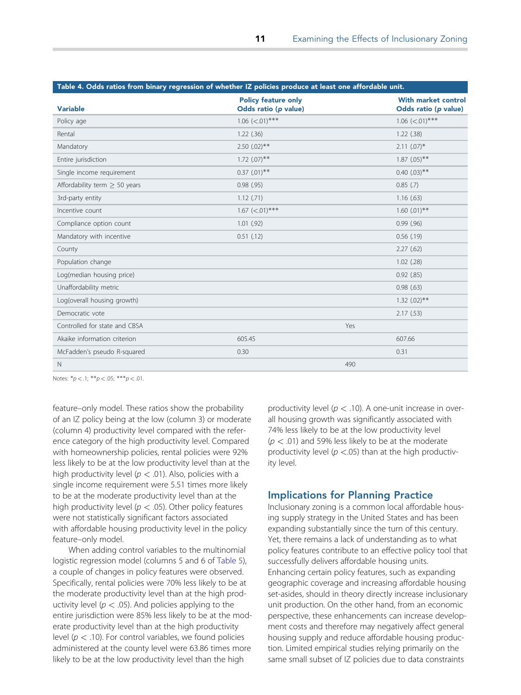<span id="page-11-0"></span>

|                                 | Table 4. Odds ratios from binary regression of whether IZ policies produce at least one affordable unit. |                                                    |
|---------------------------------|----------------------------------------------------------------------------------------------------------|----------------------------------------------------|
| <b>Variable</b>                 | <b>Policy feature only</b><br>Odds ratio (p value)                                                       | <b>With market control</b><br>Odds ratio (p value) |
| Policy age                      | $1.06$ (<.01)***                                                                                         | $1.06$ (<.01)***                                   |
| Rental                          | $1.22$ (.36)                                                                                             | $1.22$ (.38)                                       |
| Mandatory                       | $2.50$ $(.02)**$                                                                                         | $2.11$ $(.07)*$                                    |
| Entire jurisdiction             | $1.72$ $(.07)$ **                                                                                        | $1.87$ (.05)**                                     |
| Single income requirement       | $0.37$ $(.01)$ **                                                                                        | $0.40$ $(.03)$ **                                  |
| Affordability term $>$ 50 years | 0.98(.95)                                                                                                | $0.85$ (.7)                                        |
| 3rd-party entity                | 1.12(.71)                                                                                                | 1.16(63)                                           |
| Incentive count                 | $1.67$ (<.01)***                                                                                         | $1.60$ $(.01)$ **                                  |
| Compliance option count         | $1.01$ (.92)                                                                                             | $0.99$ $(.96)$                                     |
| Mandatory with incentive        | $0.51$ $(.12)$                                                                                           | $0.56$ $(.19)$                                     |
| County                          |                                                                                                          | 2.27(62)                                           |
| Population change               |                                                                                                          | $1.02$ (.28)                                       |
| Log(median housing price)       |                                                                                                          | $0.92$ $(.85)$                                     |
| Unaffordability metric          |                                                                                                          | 0.98(63)                                           |
| Log(overall housing growth)     |                                                                                                          | $1.32$ $(.02)**$                                   |
| Democratic vote                 |                                                                                                          | 2.17(53)                                           |
| Controlled for state and CBSA   |                                                                                                          | Yes                                                |
| Akaike information criterion    | 605.45                                                                                                   | 607.66                                             |
| McFadden's pseudo R-squared     | 0.30                                                                                                     | 0.31                                               |
| $\mathbb N$                     |                                                                                                          | 490                                                |

Notes:  $*p < .1; **p < .05; **p < .01$ .

feature–only model. These ratios show the probability of an IZ policy being at the low (column 3) or moderate (column 4) productivity level compared with the reference category of the high productivity level. Compared with homeownership policies, rental policies were 92% less likely to be at the low productivity level than at the high productivity level ( $p < .01$ ). Also, policies with a single income requirement were 5.51 times more likely to be at the moderate productivity level than at the high productivity level ( $p < .05$ ). Other policy features were not statistically significant factors associated with affordable housing productivity level in the policy feature–only model.

When adding control variables to the multinomial logistic regression model (columns 5 and 6 of [Table 5\)](#page-12-0), a couple of changes in policy features were observed. Specifically, rental policies were 70% less likely to be at the moderate productivity level than at the high productivity level ( $p < .05$ ). And policies applying to the entire jurisdiction were 85% less likely to be at the moderate productivity level than at the high productivity level ( $p < .10$ ). For control variables, we found policies administered at the county level were 63.86 times more likely to be at the low productivity level than the high

productivity level ( $p < .10$ ). A one-unit increase in overall housing growth was significantly associated with 74% less likely to be at the low productivity level  $(p < .01)$  and 59% less likely to be at the moderate productivity level ( $p < .05$ ) than at the high productivity level.

#### Implications for Planning Practice

Inclusionary zoning is a common local affordable housing supply strategy in the United States and has been expanding substantially since the turn of this century. Yet, there remains a lack of understanding as to what policy features contribute to an effective policy tool that successfully delivers affordable housing units. Enhancing certain policy features, such as expanding geographic coverage and increasing affordable housing set-asides, should in theory directly increase inclusionary unit production. On the other hand, from an economic perspective, these enhancements can increase development costs and therefore may negatively affect general housing supply and reduce affordable housing production. Limited empirical studies relying primarily on the same small subset of IZ policies due to data constraints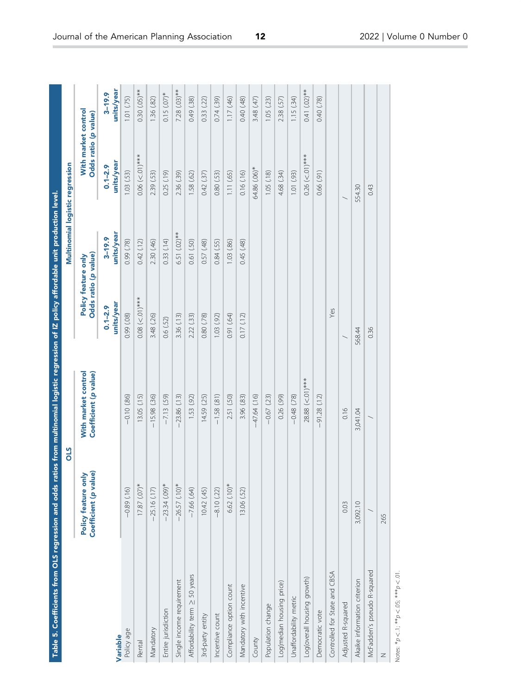<span id="page-12-0"></span>

| Table 5. Coefficients from OLS regression and odds ratios from multinomial logistic regression of IZ policy affordable unit production level |                                              |                                              |                                             |                          |                                             |                          |
|----------------------------------------------------------------------------------------------------------------------------------------------|----------------------------------------------|----------------------------------------------|---------------------------------------------|--------------------------|---------------------------------------------|--------------------------|
|                                                                                                                                              |                                              | STO                                          |                                             |                          | Multinomial logistic regression             |                          |
|                                                                                                                                              | Policy feature only<br>Coefficient (p value) | With market control<br>Coefficient (p value) | Odds ratio (p value)<br>Policy feature only |                          | With market control<br>Odds ratio (p value) |                          |
| Variable                                                                                                                                     |                                              |                                              | units/year<br>$0.1 - 2.9$                   | units/year<br>$3 - 19.9$ | units/year<br>$0.1 - 2.9$                   | units/year<br>$3 - 19.9$ |
| Policy age                                                                                                                                   | $-0.89(.16)$                                 | $-0.10(.86)$                                 | 0.99 (.08)                                  | 0.99 (.78)               | 1.03(53)                                    | 1.01(75)                 |
| Rental                                                                                                                                       | $17.87$ $(.07)*$                             | 13.05 (.15)                                  | $0.08$ (<.01)***                            | 0.42(12)                 | $0.06$ (<.01)***                            | $0.30$ $(0.05)$ **       |
| Mandatory                                                                                                                                    | $-25.16(17)$                                 | $-15.98(.36)$                                | 3.48 (.26)                                  | 2.30 (.46)               | 2.39 (.53)                                  | 1.36(82)                 |
| Entire jurisdiction                                                                                                                          | $-23.34(.09)*$                               | $-7.13(59)$                                  | 0.6(52)                                     | 0.33(14)                 | 0.25(19)                                    | $0.15$ $(07)*$           |
| Single income requirement                                                                                                                    | $-26.57(10)*$                                | $-23.86(13)$                                 | 3.36 (.13)                                  | 6.51 (.02) **            | 2.36 (.39)                                  | 7.28 (.03) **            |
| Affordability term ≥ 50 years                                                                                                                | $-7.66(.64)$                                 | 1.53 (.92)                                   | 2.22 (.33)                                  | 0.61(50)                 | 1.58 (.62)                                  | 0.49 (.38)               |
| 3rd-party entity                                                                                                                             | 10.42 (.45)                                  | 14.59 (.25)                                  | 0.80 (.78)                                  | 0.57(48)                 | 0.42(37)                                    | 0.33(22)                 |
| Incentive count                                                                                                                              | $-8.10(22)$                                  | $-1.58(81)$                                  | 1.03(92)                                    | 0.84(.55)                | 0.80(53)                                    | 0.74(39)                 |
| Compliance option count                                                                                                                      | $6.62(.10)*$                                 | 2.51 (.50)                                   | 0.91 (.64)                                  | 1.03 (.86)               | 1.11(65)                                    | 1.17(46)                 |
| Mandatory with incentive                                                                                                                     | 13.06 (.52)                                  | 3.96 (.83)                                   | 0.17(12)                                    | (84) 540                 | 0.16(.16)                                   | 0.40 (.48)               |
| County                                                                                                                                       |                                              | $-47.64(16)$                                 |                                             |                          | 64.86 (.06)*                                | 3.48 (.47)               |
| Population change                                                                                                                            |                                              | $-0.67(23)$                                  |                                             |                          | 1.05(18)                                    | 1.05(23)                 |
| Log(median housing price)                                                                                                                    |                                              | $(66)$ 920                                   |                                             |                          | 4.68 (.34)                                  | 2.38 (.57)               |
| Unaffordability metric                                                                                                                       |                                              | $-0.48$ $(78)$                               |                                             |                          | 1.01(93)                                    | 1.15 (.34)               |
| Log(overall housing growth)                                                                                                                  |                                              | 28.88 (<.01) ***                             |                                             |                          | $0.26$ (<.01)***                            | $0.41(02)**$             |
| Democratic vote                                                                                                                              |                                              | (51.28)(12)                                  |                                             |                          | $(16)$ 99 $(0.00)$                          | 0.40 (.78)               |
| Controlled for State and CBSA                                                                                                                |                                              |                                              | Yes                                         |                          |                                             |                          |
| Adjusted R-squared                                                                                                                           | 0.03                                         | 0.16                                         |                                             |                          |                                             |                          |
| Akaike information criterion                                                                                                                 | 3,092.10                                     | 3,041.04                                     | 568.44                                      |                          | 554.30                                      |                          |
| McFadden's pseudo R-squared                                                                                                                  |                                              |                                              | 0.36                                        |                          | 0.43                                        |                          |
| Z                                                                                                                                            | 265                                          |                                              |                                             |                          |                                             |                          |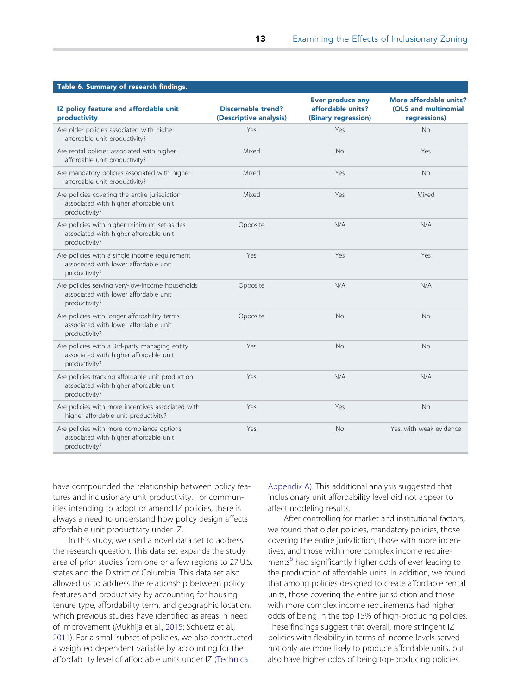<span id="page-13-0"></span>

| Table 6. Summary of research findings.                                                                      |                                                     |                                                              |                                                                |
|-------------------------------------------------------------------------------------------------------------|-----------------------------------------------------|--------------------------------------------------------------|----------------------------------------------------------------|
| IZ policy feature and affordable unit<br>productivity                                                       | <b>Discernable trend?</b><br>(Descriptive analysis) | Ever produce any<br>affordable units?<br>(Binary regression) | More affordable units?<br>(OLS and multinomial<br>regressions) |
| Are older policies associated with higher<br>affordable unit productivity?                                  | Yes                                                 | Yes                                                          | <b>No</b>                                                      |
| Are rental policies associated with higher<br>affordable unit productivity?                                 | Mixed                                               | <b>No</b>                                                    | Yes                                                            |
| Are mandatory policies associated with higher<br>affordable unit productivity?                              | Mixed                                               | Yes                                                          | <b>No</b>                                                      |
| Are policies covering the entire jurisdiction<br>associated with higher affordable unit<br>productivity?    | Mixed                                               | Yes                                                          | Mixed                                                          |
| Are policies with higher minimum set-asides<br>associated with higher affordable unit<br>productivity?      | Opposite                                            | N/A                                                          | N/A                                                            |
| Are policies with a single income requirement<br>associated with lower affordable unit<br>productivity?     | Yes                                                 | Yes                                                          | Yes                                                            |
| Are policies serving very-low-income households<br>associated with lower affordable unit<br>productivity?   | Opposite                                            | N/A                                                          | N/A                                                            |
| Are policies with longer affordability terms<br>associated with lower affordable unit<br>productivity?      | Opposite                                            | <b>No</b>                                                    | <b>No</b>                                                      |
| Are policies with a 3rd-party managing entity<br>associated with higher affordable unit<br>productivity?    | Yes                                                 | No                                                           | No                                                             |
| Are policies tracking affordable unit production<br>associated with higher affordable unit<br>productivity? | Yes                                                 | N/A                                                          | N/A                                                            |
| Are policies with more incentives associated with<br>higher affordable unit productivity?                   | Yes                                                 | Yes                                                          | <b>No</b>                                                      |
| Are policies with more compliance options<br>associated with higher affordable unit<br>productivity?        | Yes                                                 | <b>No</b>                                                    | Yes, with weak evidence                                        |

have compounded the relationship between policy features and inclusionary unit productivity. For communities intending to adopt or amend IZ policies, there is always a need to understand how policy design affects affordable unit productivity under IZ.

In this study, we used a novel data set to address the research question. This data set expands the study area of prior studies from one or a few regions to 27 U.S. states and the District of Columbia. This data set also allowed us to address the relationship between policy features and productivity by accounting for housing tenure type, affordability term, and geographic location, which previous studies have identified as areas in need of improvement (Mukhija et al., [2015](#page-15-0); Schuetz et al., [2011\)](#page-15-0). For a small subset of policies, we also constructed a weighted dependent variable by accounting for the affordability level of affordable units under IZ [\(Technical](https://doi.org/10.1080/01944363.2022.2027263)

[Appendix A\)](https://doi.org/10.1080/01944363.2022.2027263). This additional analysis suggested that inclusionary unit affordability level did not appear to affect modeling results.

After controlling for market and institutional factors, we found that older policies, mandatory policies, those covering the entire jurisdiction, those with more incentives, and those with more complex income requirements<sup>6</sup> had significantly higher odds of ever leading to the production of affordable units. In addition, we found that among policies designed to create affordable rental units, those covering the entire jurisdiction and those with more complex income requirements had higher odds of being in the top 15% of high-producing policies. These findings suggest that overall, more stringent IZ policies with flexibility in terms of income levels served not only are more likely to produce affordable units, but also have higher odds of being top-producing policies.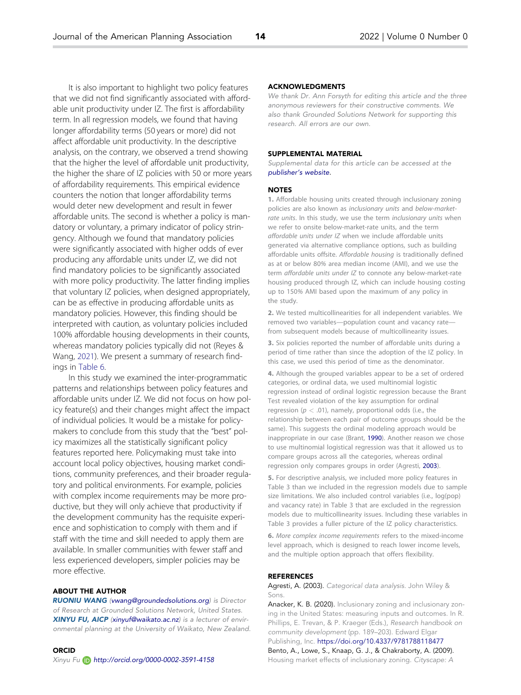<span id="page-14-0"></span>It is also important to highlight two policy features that we did not find significantly associated with affordable unit productivity under IZ. The first is affordability term. In all regression models, we found that having longer affordability terms (50 years or more) did not affect affordable unit productivity. In the descriptive analysis, on the contrary, we observed a trend showing that the higher the level of affordable unit productivity, the higher the share of IZ policies with 50 or more years of affordability requirements. This empirical evidence counters the notion that longer affordability terms would deter new development and result in fewer affordable units. The second is whether a policy is mandatory or voluntary, a primary indicator of policy stringency. Although we found that mandatory policies were significantly associated with higher odds of ever producing any affordable units under IZ, we did not find mandatory policies to be significantly associated with more policy productivity. The latter finding implies that voluntary IZ policies, when designed appropriately, can be as effective in producing affordable units as mandatory policies. However, this finding should be interpreted with caution, as voluntary policies included 100% affordable housing developments in their counts, whereas mandatory policies typically did not (Reyes & Wang, [2021\)](#page-15-0). We present a summary of research findings in [Table 6.](#page-13-0)

In this study we examined the inter-programmatic patterns and relationships between policy features and affordable units under IZ. We did not focus on how policy feature(s) and their changes might affect the impact of individual policies. It would be a mistake for policymakers to conclude from this study that the "best" policy maximizes all the statistically significant policy features reported here. Policymaking must take into account local policy objectives, housing market conditions, community preferences, and their broader regulatory and political environments. For example, policies with complex income requirements may be more productive, but they will only achieve that productivity if the development community has the requisite experience and sophistication to comply with them and if staff with the time and skill needed to apply them are available. In smaller communities with fewer staff and less experienced developers, simpler policies may be more effective.

#### ABOUT THE AUTHOR

RUONIU WANG ([vwang@groundedsolutions.org](mailto:vwang.org)) is Director of Research at Grounded Solutions Network, United States. XINYU FU, AICP [\(xinyuf@waikato.ac.nz\)](mailto:xinyuf.ac.nz) is a lecturer of environmental planning at the University of Waikato, New Zealand.

#### ORCID Xinyu Fu http://orcid.org/0000-0002-3591-4158

#### ACKNOWLEDGMENTS

We thank Dr. Ann Forsyth for editing this article and the three anonymous reviewers for their constructive comments. We also thank Grounded Solutions Network for supporting this research. All errors are our own.

#### SUPPLEMENTAL MATERIAL

Supplemental data for this article can be accessed at the [publisher's website.](https://doi.org/10.1080/01944363.2022.2027263)

#### **NOTES**

[1.](#page-1-0) Affordable housing units created through inclusionary zoning policies are also known as inclusionary units and below-marketrate units. In this study, we use the term inclusionary units when we refer to onsite below-market-rate units, and the term affordable units under IZ when we include affordable units generated via alternative compliance options, such as building affordable units offsite. Affordable housing is traditionally defined as at or below 80% area median income (AMI), and we use the term affordable units under IZ to connote any below-market-rate housing produced through IZ, which can include housing costing up to 150% AMI based upon the maximum of any policy in the study.

[2.](#page-6-0) We tested multicollinearities for all independent variables. We removed two variables—population count and vacancy rate from subsequent models because of multicollinearity issues.

[3.](#page-6-0) Six policies reported the number of affordable units during a period of time rather than since the adoption of the IZ policy. In this case, we used this period of time as the denominator.

[4.](#page-9-0) Although the grouped variables appear to be a set of ordered categories, or ordinal data, we used multinomial logistic regression instead of ordinal logistic regression because the Brant Test revealed violation of the key assumption for ordinal regression ( $p < .01$ ), namely, proportional odds (i.e., the relationship between each pair of outcome groups should be the same). This suggests the ordinal modeling approach would be inappropriate in our case (Brant, [1990](#page-15-0)). Another reason we chose to use multinomial logistical regression was that it allowed us to compare groups across all the categories, whereas ordinal regression only compares groups in order (Agresti, 2003).

[5.](#page-9-0) For descriptive analysis, we included more policy features in Table 3 than we included in the regression models due to sample size limitations. We also included control variables (i.e., log(pop) and vacancy rate) in Table 3 that are excluded in the regression models due to multicollinearity issues. Including these variables in Table 3 provides a fuller picture of the IZ policy characteristics.

[6.](#page-13-0) More complex income requirements refers to the mixed-income level approach, which is designed to reach lower income levels, and the multiple option approach that offers flexibility.

#### REFERENCES

Agresti, A. (2003). Categorical data analysis. John Wiley & Sons.

Anacker, K. B. [\(2020\).](#page-2-0) Inclusionary zoning and inclusionary zoning in the United States: measuring inputs and outcomes. In R. Phillips, E. Trevan, & P. Kraeger (Eds.), Research handbook on community development (pp. 189–203). Edward Elgar Publishing, Inc. <https://doi.org/10.4337/9781788118477>

Bento, A., Lowe, S., Knaap, G. J., & Chakraborty, A. ([2009\).](#page-3-0) Housing market effects of inclusionary zoning. Cityscape: A